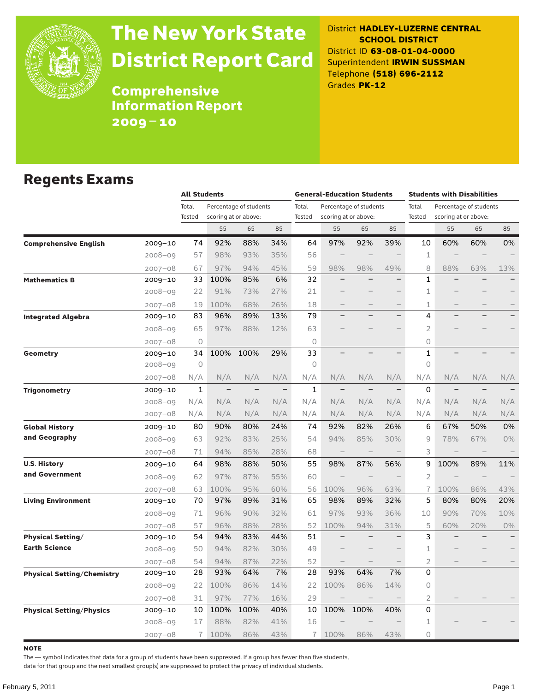

# The New York State District Report Card

District **HADLEY-LUZERNE CENTRAL SCHOOL DISTRICT** District ID **63-08-01-04-0000** Superintendent **IRWIN SUSSMAN** Telephone **(518) 696-2112** Grades **PK-12**

**Comprehensive** Information Report 2009–10

### Regents Exams

|                                   |             | <b>All Students</b> |                          |                                                |                          | <b>General-Education Students</b> |                          |                                                |                          | <b>Students with Disabilities</b> |                                                |     |       |  |
|-----------------------------------|-------------|---------------------|--------------------------|------------------------------------------------|--------------------------|-----------------------------------|--------------------------|------------------------------------------------|--------------------------|-----------------------------------|------------------------------------------------|-----|-------|--|
|                                   |             | Total<br>Tested     |                          | Percentage of students<br>scoring at or above: |                          | Total<br><b>Tested</b>            |                          | Percentage of students<br>scoring at or above: |                          | Total<br>Tested                   | Percentage of students<br>scoring at or above: |     |       |  |
|                                   |             |                     | 55                       | 65                                             | 85                       |                                   | 55                       | 65                                             | 85                       |                                   | 55                                             | 65  | 85    |  |
| <b>Comprehensive English</b>      | 2009-10     | 74                  | 92%                      | 88%                                            | 34%                      | 64                                | 97%                      | 92%                                            | 39%                      | 10                                | 60%                                            | 60% | 0%    |  |
|                                   | $2008 - 09$ | 57                  | 98%                      | 93%                                            | 35%                      | 56                                |                          |                                                |                          | 1                                 |                                                |     |       |  |
|                                   | $2007 - 08$ | 67                  | 97%                      | 94%                                            | 45%                      | 59                                | 98%                      | 98%                                            | 49%                      | 8                                 | 88%                                            | 63% | 13%   |  |
| <b>Mathematics B</b>              | 2009-10     | 33                  | 100%                     | 85%                                            | 6%                       | 32                                |                          |                                                | $\overline{\phantom{0}}$ | 1                                 |                                                |     |       |  |
|                                   | $2008 - 09$ | 22                  | 91%                      | 73%                                            | 27%                      | 21                                |                          |                                                |                          | 1                                 |                                                |     |       |  |
|                                   | $2007 - 08$ | 19                  | 100%                     | 68%                                            | 26%                      | 18                                |                          |                                                |                          | 1                                 |                                                |     |       |  |
| <b>Integrated Algebra</b>         | 2009-10     | 83                  | 96%                      | 89%                                            | 13%                      | 79                                |                          |                                                | $\overline{\phantom{0}}$ | 4                                 |                                                |     |       |  |
|                                   | 2008-09     | 65                  | 97%                      | 88%                                            | 12%                      | 63                                |                          |                                                |                          | $\overline{2}$                    |                                                |     |       |  |
|                                   | $2007 - 08$ | $\circ$             |                          |                                                |                          | $\circ$                           |                          |                                                |                          | 0                                 |                                                |     |       |  |
| Geometry                          | 2009-10     | 34                  | 100%                     | 100%                                           | 29%                      | 33                                |                          |                                                | $\overline{\phantom{0}}$ | $\mathbf{1}$                      |                                                |     |       |  |
|                                   | $2008 - 09$ | $\circ$             |                          |                                                |                          | $\Omega$                          |                          |                                                |                          | 0                                 |                                                |     |       |  |
|                                   | $2007 - 08$ | N/A                 | N/A                      | N/A                                            | N/A                      | N/A                               | N/A                      | N/A                                            | N/A                      | N/A                               | N/A                                            | N/A | N/A   |  |
| <b>Trigonometry</b>               | 2009-10     | 1                   | $\overline{\phantom{a}}$ |                                                | $\overline{\phantom{0}}$ | $\mathbf{1}$                      |                          |                                                | $\qquad \qquad -$        | 0                                 | $\qquad \qquad -$                              |     |       |  |
|                                   | $2008 - 09$ | N/A                 | N/A                      | N/A                                            | N/A                      | N/A                               | N/A                      | N/A                                            | N/A                      | N/A                               | N/A                                            | N/A | N/A   |  |
|                                   | $2007 - 08$ | N/A                 | N/A                      | N/A                                            | N/A                      | N/A                               | N/A                      | N/A                                            | N/A                      | N/A                               | N/A                                            | N/A | N/A   |  |
| <b>Global History</b>             | $2009 - 10$ | 80                  | 90%                      | 80%                                            | 24%                      | 74                                | 92%                      | 82%                                            | 26%                      | 6                                 | 67%                                            | 50% | 0%    |  |
| and Geography                     | $2008 - 09$ | 63                  | 92%                      | 83%                                            | 25%                      | 54                                | 94%                      | 85%                                            | 30%                      | 9                                 | 78%                                            | 67% | 0%    |  |
|                                   | $2007 - 08$ | 71                  | 94%                      | 85%                                            | 28%                      | 68                                |                          |                                                |                          | 3                                 |                                                |     |       |  |
| <b>U.S. History</b>               | 2009-10     | 64                  | 98%                      | 88%                                            | 50%                      | 55                                | 98%                      | 87%                                            | 56%                      | 9                                 | 100%                                           | 89% | 11%   |  |
| and Government                    | $2008 - 09$ | 62                  | 97%                      | 87%                                            | 55%                      | 60                                |                          |                                                |                          | $\overline{2}$                    |                                                |     |       |  |
|                                   | $2007 - 08$ | 63                  | 100%                     | 95%                                            | 60%                      | 56                                | 100%                     | 96%                                            | 63%                      | $\overline{1}$                    | 100%                                           | 86% | 43%   |  |
| <b>Living Environment</b>         | 2009-10     | 70                  | 97%                      | 89%                                            | 31%                      | 65                                | 98%                      | 89%                                            | 32%                      | 5                                 | 80%                                            | 80% | 20%   |  |
|                                   | $2008 - 09$ | 71                  | 96%                      | 90%                                            | 32%                      | 61                                | 97%                      | 93%                                            | 36%                      | 10                                | 90%                                            | 70% | 10%   |  |
|                                   | $2007 - 08$ | 57                  | 96%                      | 88%                                            | 28%                      | 52                                | 100%                     | 94%                                            | 31%                      | 5                                 | 60%                                            | 20% | $0\%$ |  |
| <b>Physical Setting/</b>          | 2009-10     | 54                  | 94%                      | 83%                                            | 44%                      | 51                                |                          |                                                |                          | 3                                 |                                                |     |       |  |
| <b>Earth Science</b>              | $2008 - 09$ | 50                  | 94%                      | 82%                                            | 30%                      | 49                                |                          |                                                |                          | 1                                 |                                                |     |       |  |
|                                   | $2007 - 08$ | 54                  | 94%                      | 87%                                            | 22%                      | 52                                | $\overline{\phantom{0}}$ |                                                |                          | $\overline{c}$                    |                                                |     |       |  |
| <b>Physical Setting/Chemistry</b> | 2009-10     | 28                  | 93%                      | 64%                                            | 7%                       | 28                                | 93%                      | 64%                                            | 7%                       | 0                                 |                                                |     |       |  |
|                                   | $2008 - 09$ | 22                  | 100%                     | 86%                                            | 14%                      | 22                                | 100%                     | 86%                                            | 14%                      | 0                                 |                                                |     |       |  |
|                                   | $2007 - 08$ | 31                  | 97%                      | 77%                                            | 16%                      | 29                                | $\overline{\phantom{a}}$ |                                                | $\qquad \qquad -$        | 2                                 |                                                |     |       |  |
| <b>Physical Setting/Physics</b>   | 2009-10     | 10                  | 100%                     | 100%                                           | 40%                      | 10                                | 100%                     | 100%                                           | 40%                      | 0                                 |                                                |     |       |  |
|                                   | $2008 - 09$ | 17                  | 88%                      | 82%                                            | 41%                      | 16                                |                          |                                                |                          | 1                                 |                                                |     |       |  |
|                                   | $2007 - 08$ | 7                   | 100%                     | 86%                                            | 43%                      | 7                                 | 100%                     | 86%                                            | 43%                      | 0                                 |                                                |     |       |  |

**NOTE** 

The — symbol indicates that data for a group of students have been suppressed. If a group has fewer than five students,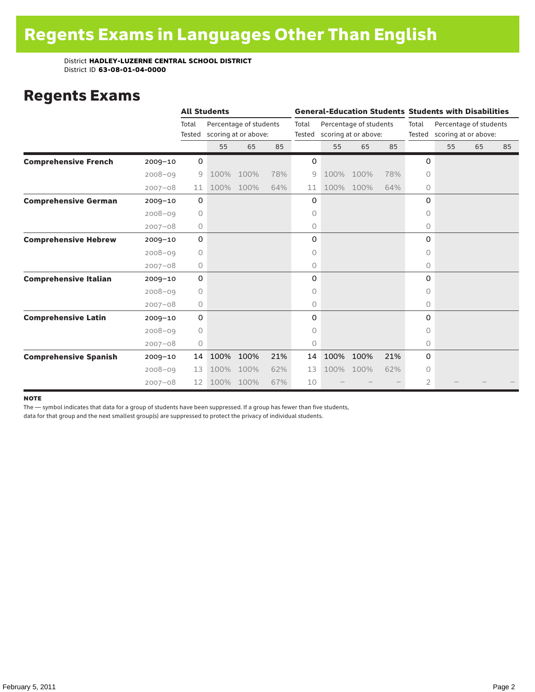### Regents Exams

|                              |             | <b>All Students</b> |      |                                                |     |                 |      |                                                |     | <b>General-Education Students Students with Disabilities</b> |                                                |    |    |  |
|------------------------------|-------------|---------------------|------|------------------------------------------------|-----|-----------------|------|------------------------------------------------|-----|--------------------------------------------------------------|------------------------------------------------|----|----|--|
|                              |             | Total<br>Tested     |      | Percentage of students<br>scoring at or above: |     | Total<br>Tested |      | Percentage of students<br>scoring at or above: |     | Total<br>Tested                                              | Percentage of students<br>scoring at or above: |    |    |  |
|                              |             |                     | 55   | 65                                             | 85  |                 | 55   | 65                                             | 85  |                                                              | 55                                             | 65 | 85 |  |
| <b>Comprehensive French</b>  | $2009 - 10$ | $\mathbf 0$         |      |                                                |     | 0               |      |                                                |     | $\Omega$                                                     |                                                |    |    |  |
|                              | $2008 - 09$ | 9                   | 100% | 100%                                           | 78% | 9               | 100% | 100%                                           | 78% | 0                                                            |                                                |    |    |  |
|                              | $2007 - 08$ | 11                  | 100% | 100%                                           | 64% | 11              | 100% | 100%                                           | 64% | 0                                                            |                                                |    |    |  |
| <b>Comprehensive German</b>  | $2009 - 10$ | 0                   |      |                                                |     | 0               |      |                                                |     | 0                                                            |                                                |    |    |  |
|                              | $2008 - 09$ | $\circ$             |      |                                                |     | 0               |      |                                                |     | $\circ$                                                      |                                                |    |    |  |
|                              | $2007 - 08$ | 0                   |      |                                                |     | 0               |      |                                                |     | 0                                                            |                                                |    |    |  |
| <b>Comprehensive Hebrew</b>  | $2009 - 10$ | 0                   |      |                                                |     | 0               |      |                                                |     | 0                                                            |                                                |    |    |  |
|                              | $2008 - 09$ | 0                   |      |                                                |     | 0               |      |                                                |     | 0                                                            |                                                |    |    |  |
|                              | $2007 - 08$ | 0                   |      |                                                |     | 0               |      |                                                |     | 0                                                            |                                                |    |    |  |
| <b>Comprehensive Italian</b> | $2009 - 10$ | 0                   |      |                                                |     | 0               |      |                                                |     | 0                                                            |                                                |    |    |  |
|                              | $2008 - 09$ | 0                   |      |                                                |     | 0               |      |                                                |     | 0                                                            |                                                |    |    |  |
|                              | $2007 - 08$ | 0                   |      |                                                |     | 0               |      |                                                |     | $\circ$                                                      |                                                |    |    |  |
| <b>Comprehensive Latin</b>   | $2009 - 10$ | 0                   |      |                                                |     | 0               |      |                                                |     | 0                                                            |                                                |    |    |  |
|                              | $2008 - 09$ | $\circ$             |      |                                                |     | 0               |      |                                                |     | 0                                                            |                                                |    |    |  |
|                              | $2007 - 08$ | $\circ$             |      |                                                |     | 0               |      |                                                |     | 0                                                            |                                                |    |    |  |
| <b>Comprehensive Spanish</b> | $2009 - 10$ | 14                  | 100% | 100%                                           | 21% | 14              | 100% | 100%                                           | 21% | 0                                                            |                                                |    |    |  |
|                              | $2008 - 09$ | 13                  | 100% | 100%                                           | 62% | 13              | 100% | 100%                                           | 62% | $\Omega$                                                     |                                                |    |    |  |
|                              | $2007 - 08$ | $12 \overline{ }$   | 100% | 100%                                           | 67% | 10              |      |                                                |     | $\overline{2}$                                               |                                                |    |    |  |

#### **NOTE**

The — symbol indicates that data for a group of students have been suppressed. If a group has fewer than five students,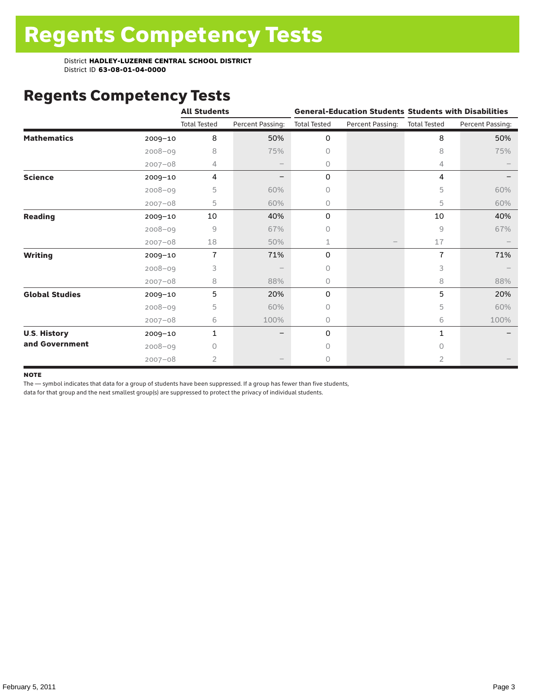# Regents Competency Tests

|                       |             | <b>All Students</b> |                  |                     | <b>General-Education Students Students with Disabilities</b> |                     |                  |
|-----------------------|-------------|---------------------|------------------|---------------------|--------------------------------------------------------------|---------------------|------------------|
|                       |             | <b>Total Tested</b> | Percent Passing: | <b>Total Tested</b> | Percent Passing:                                             | <b>Total Tested</b> | Percent Passing: |
| <b>Mathematics</b>    | $2009 - 10$ | 8                   | 50%              | 0                   |                                                              | 8                   | 50%              |
|                       | $2008 - 09$ | 8                   | 75%              | 0                   |                                                              | 8                   | 75%              |
|                       | $2007 - 08$ | 4                   |                  | 0                   |                                                              | 4                   |                  |
| <b>Science</b>        | $2009 - 10$ | 4                   |                  | 0                   |                                                              | 4                   |                  |
|                       | $2008 - 09$ | 5                   | 60%              | 0                   |                                                              | 5                   | 60%              |
|                       | $2007 - 08$ | 5                   | 60%              | 0                   |                                                              | 5                   | 60%              |
| <b>Reading</b>        | 2009-10     | 10                  | 40%              | 0                   |                                                              | 10                  | 40%              |
|                       | $2008 - 09$ | 9                   | 67%              | 0                   |                                                              | 9                   | 67%              |
|                       | $2007 - 08$ | 18                  | 50%              | 1                   |                                                              | 17                  |                  |
| <b>Writing</b>        | $2009 - 10$ | $\overline{7}$      | 71%              | 0                   |                                                              | $\overline{1}$      | 71%              |
|                       | $2008 - 09$ | 3                   |                  | 0                   |                                                              | 3                   |                  |
|                       | $2007 - 08$ | 8                   | 88%              | 0                   |                                                              | 8                   | 88%              |
| <b>Global Studies</b> | 2009-10     | 5                   | 20%              | 0                   |                                                              | 5                   | 20%              |
|                       | $2008 - 09$ | 5                   | 60%              | 0                   |                                                              | 5                   | 60%              |
|                       | $2007 - 08$ | 6                   | 100%             | 0                   |                                                              | 6                   | 100%             |
| <b>U.S. History</b>   | 2009-10     | 1                   |                  | 0                   |                                                              | 1                   |                  |
| and Government        | $2008 - 09$ | Ω                   |                  | Ω                   |                                                              | $\bigcap$           |                  |
|                       | $2007 - 08$ | 2                   |                  | 0                   |                                                              | 2                   |                  |

#### **NOTE**

The — symbol indicates that data for a group of students have been suppressed. If a group has fewer than five students,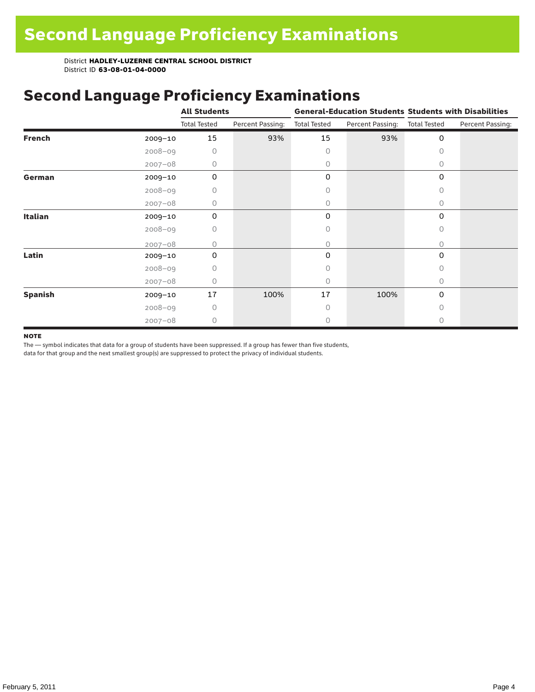# Second Language Proficiency Examinations

|                |             | <b>All Students</b> |                  |                     |                  | <b>General-Education Students Students with Disabilities</b> |                  |  |  |
|----------------|-------------|---------------------|------------------|---------------------|------------------|--------------------------------------------------------------|------------------|--|--|
|                |             | <b>Total Tested</b> | Percent Passing: | <b>Total Tested</b> | Percent Passing: | <b>Total Tested</b>                                          | Percent Passing: |  |  |
| <b>French</b>  | $2009 - 10$ | 15                  | 93%              | 15                  | 93%              | 0                                                            |                  |  |  |
|                | $2008 - 09$ | 0                   |                  | 0                   |                  | $\Omega$                                                     |                  |  |  |
|                | $2007 - 08$ | 0                   |                  | 0                   |                  | 0                                                            |                  |  |  |
| German         | $2009 - 10$ | 0                   |                  | 0                   |                  | 0                                                            |                  |  |  |
|                | $2008 - 09$ | Ω                   |                  | Ω                   |                  | 0                                                            |                  |  |  |
|                | $2007 - 08$ | 0                   |                  | 0                   |                  | $\Omega$                                                     |                  |  |  |
| <b>Italian</b> | $2009 - 10$ | 0                   |                  | 0                   |                  | $\Omega$                                                     |                  |  |  |
|                | $2008 - 09$ | 0                   |                  | 0                   |                  | 0                                                            |                  |  |  |
|                | $2007 - 08$ | Ω                   |                  | 0                   |                  | $\bigcap$                                                    |                  |  |  |
| Latin          | 2009-10     | $\Omega$            |                  | 0                   |                  | 0                                                            |                  |  |  |
|                | $2008 - 09$ | O                   |                  | Ω                   |                  | $\bigcap$                                                    |                  |  |  |
|                | $2007 - 08$ | 0                   |                  | 0                   |                  | 0                                                            |                  |  |  |
| <b>Spanish</b> | 2009-10     | 17                  | 100%             | 17                  | 100%             | 0                                                            |                  |  |  |
|                | $2008 - 09$ | 0                   |                  | 0                   |                  | $\Omega$                                                     |                  |  |  |
|                | $2007 - 08$ | $\Omega$            |                  | 0                   |                  | $\Omega$                                                     |                  |  |  |

#### **NOTE**

The — symbol indicates that data for a group of students have been suppressed. If a group has fewer than five students,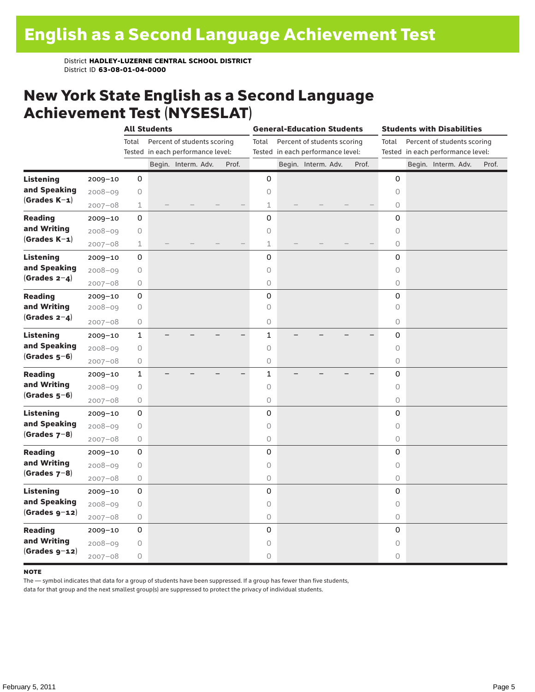### New York State English as a Second Language Achievement Test (NYSESLAT)

|                  |             | <b>All Students</b> |  |                                   |  | <b>General-Education Students</b> |              |  |                                   |  | <b>Students with Disabilities</b> |            |  |                                   |       |
|------------------|-------------|---------------------|--|-----------------------------------|--|-----------------------------------|--------------|--|-----------------------------------|--|-----------------------------------|------------|--|-----------------------------------|-------|
|                  |             | Total               |  | Percent of students scoring       |  |                                   | Total        |  | Percent of students scoring       |  |                                   | Total      |  | Percent of students scoring       |       |
|                  |             |                     |  | Tested in each performance level: |  |                                   |              |  | Tested in each performance level: |  |                                   |            |  | Tested in each performance level: |       |
|                  |             |                     |  | Begin. Interm. Adv.               |  | Prof.                             |              |  | Begin. Interm. Adv.               |  | Prof.                             |            |  | Begin. Interm. Adv.               | Prof. |
| <b>Listening</b> | 2009-10     | 0                   |  |                                   |  |                                   | 0            |  |                                   |  |                                   | 0          |  |                                   |       |
| and Speaking     | 2008-09     | 0                   |  |                                   |  |                                   | 0            |  |                                   |  |                                   | 0          |  |                                   |       |
| $(Grades K-1)$   | $2007 - 08$ | $\mathbf 1$         |  |                                   |  |                                   | 1            |  |                                   |  |                                   | $\circ$    |  |                                   |       |
| <b>Reading</b>   | $2009 - 10$ | 0                   |  |                                   |  |                                   | 0            |  |                                   |  |                                   | 0          |  |                                   |       |
| and Writing      | $2008 - 09$ | 0                   |  |                                   |  |                                   | 0            |  |                                   |  |                                   | 0          |  |                                   |       |
| $(Grades K-1)$   | $2007 - 08$ | $\mathbf 1$         |  |                                   |  |                                   | 1            |  |                                   |  |                                   | 0          |  |                                   |       |
| <b>Listening</b> | 2009-10     | 0                   |  |                                   |  |                                   | 0            |  |                                   |  |                                   | 0          |  |                                   |       |
| and Speaking     | $2008 - 09$ | 0                   |  |                                   |  |                                   | 0            |  |                                   |  |                                   | $\circ$    |  |                                   |       |
| $(Grades 2-4)$   | $2007 - 08$ | 0                   |  |                                   |  |                                   | 0            |  |                                   |  |                                   | $\circ$    |  |                                   |       |
| <b>Reading</b>   | 2009-10     | 0                   |  |                                   |  |                                   | 0            |  |                                   |  |                                   | 0          |  |                                   |       |
| and Writing      | $2008 - 09$ | 0                   |  |                                   |  |                                   | 0            |  |                                   |  |                                   | 0          |  |                                   |       |
| (Grades $2-4$ )  | $2007 - 08$ | 0                   |  |                                   |  |                                   | 0            |  |                                   |  |                                   | 0          |  |                                   |       |
| <b>Listening</b> | $2009 - 10$ | $\mathbf{1}$        |  |                                   |  |                                   | 1            |  |                                   |  |                                   | 0          |  |                                   |       |
| and Speaking     | $2008 - 09$ | 0                   |  |                                   |  |                                   | 0            |  |                                   |  |                                   | $\circ$    |  |                                   |       |
| $(Grades 5-6)$   | $2007 - 08$ | 0                   |  |                                   |  |                                   | 0            |  |                                   |  |                                   | $\circ$    |  |                                   |       |
| <b>Reading</b>   | 2009-10     | $\mathbf{1}$        |  |                                   |  |                                   | $\mathbf{1}$ |  |                                   |  |                                   | 0          |  |                                   |       |
| and Writing      | $2008 - 09$ | 0                   |  |                                   |  |                                   | 0            |  |                                   |  |                                   | 0          |  |                                   |       |
| $(Grades 5-6)$   | $2007 - 08$ | 0                   |  |                                   |  |                                   | 0            |  |                                   |  |                                   | $\bigcirc$ |  |                                   |       |
| <b>Listening</b> | 2009-10     | 0                   |  |                                   |  |                                   | 0            |  |                                   |  |                                   | 0          |  |                                   |       |
| and Speaking     | $2008 - 09$ | 0                   |  |                                   |  |                                   | 0            |  |                                   |  |                                   | $\circ$    |  |                                   |       |
| $(Grades 7-8)$   | $2007 - 08$ | 0                   |  |                                   |  |                                   | 0            |  |                                   |  |                                   | 0          |  |                                   |       |
| <b>Reading</b>   | 2009-10     | 0                   |  |                                   |  |                                   | 0            |  |                                   |  |                                   | 0          |  |                                   |       |
| and Writing      | $2008 - 09$ | 0                   |  |                                   |  |                                   | 0            |  |                                   |  |                                   | 0          |  |                                   |       |
| $(Grades 7-8)$   | $2007 - 08$ | $\bigcirc$          |  |                                   |  |                                   | 0            |  |                                   |  |                                   | $\bigcirc$ |  |                                   |       |
| <b>Listening</b> | 2009-10     | 0                   |  |                                   |  |                                   | 0            |  |                                   |  |                                   | 0          |  |                                   |       |
| and Speaking     | $2008 - 09$ | 0                   |  |                                   |  |                                   | 0            |  |                                   |  |                                   | $\circ$    |  |                                   |       |
| $(Grades g-12)$  | $2007 - 08$ | 0                   |  |                                   |  |                                   | 0            |  |                                   |  |                                   | $\circ$    |  |                                   |       |
| <b>Reading</b>   | 2009-10     | 0                   |  |                                   |  |                                   | 0            |  |                                   |  |                                   | 0          |  |                                   |       |
| and Writing      | $2008 - 09$ | 0                   |  |                                   |  |                                   | 0            |  |                                   |  |                                   | 0          |  |                                   |       |
| $(Grades g-12)$  | $2007 - 08$ | 0                   |  |                                   |  |                                   | 0            |  |                                   |  |                                   | 0          |  |                                   |       |

#### **NOTE**

The — symbol indicates that data for a group of students have been suppressed. If a group has fewer than five students,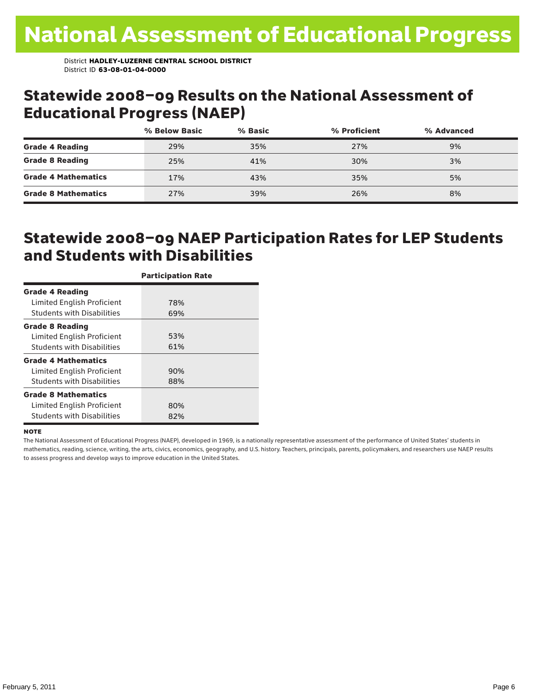### Statewide 2008–09 Results on the National Assessment of Educational Progress (NAEP)

|                            | % Below Basic | % Basic | % Proficient | % Advanced |  |
|----------------------------|---------------|---------|--------------|------------|--|
| <b>Grade 4 Reading</b>     | 29%           | 35%     | 27%          | 9%         |  |
| <b>Grade 8 Reading</b>     | 25%           | 41%     | 30%          | 3%         |  |
| <b>Grade 4 Mathematics</b> | 17%           | 43%     | 35%          | 5%         |  |
| <b>Grade 8 Mathematics</b> | 27%           | 39%     | 26%          | 8%         |  |

### Statewide 2008–09 NAEP Participation Rates for LEP Students and Students with Disabilities

|                                   | <b>Participation Rate</b> |
|-----------------------------------|---------------------------|
| <b>Grade 4 Reading</b>            |                           |
| Limited English Proficient        | 78%                       |
| <b>Students with Disabilities</b> | 69%                       |
| <b>Grade 8 Reading</b>            |                           |
| Limited English Proficient        | 53%                       |
| <b>Students with Disabilities</b> | 61%                       |
| <b>Grade 4 Mathematics</b>        |                           |
| Limited English Proficient        | 90%                       |
| <b>Students with Disabilities</b> | 88%                       |
| <b>Grade 8 Mathematics</b>        |                           |
| Limited English Proficient        | 80%                       |
| <b>Students with Disabilities</b> | 82%                       |

#### **NOTE**

The National Assessment of Educational Progress (NAEP), developed in 1969, is a nationally representative assessment of the performance of United States' students in mathematics, reading, science, writing, the arts, civics, economics, geography, and U.S. history. Teachers, principals, parents, policymakers, and researchers use NAEP results to assess progress and develop ways to improve education in the United States.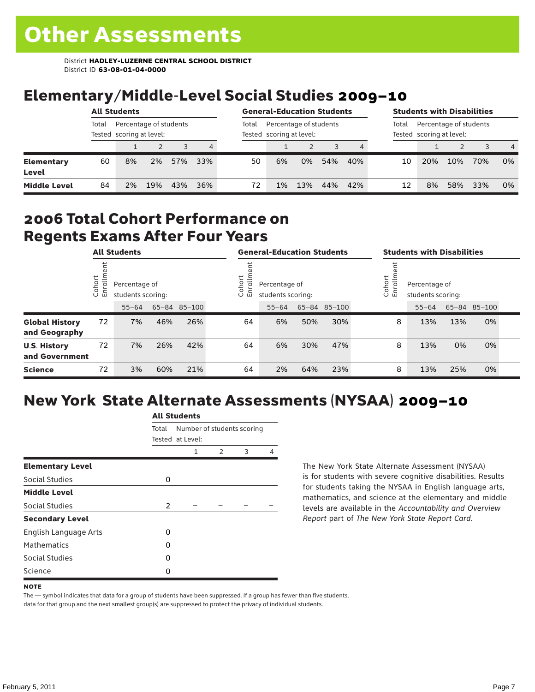# Elementary/Middle-Level Social Studies 2009–10

|                            | <b>All Students</b> |                                                    |     |     |       | <b>General-Education Students</b>                  |    |     |     |       | <b>Students with Disabilities</b>                  |     |     |     |                |  |
|----------------------------|---------------------|----------------------------------------------------|-----|-----|-------|----------------------------------------------------|----|-----|-----|-------|----------------------------------------------------|-----|-----|-----|----------------|--|
|                            | Total               | Percentage of students<br>Tested scoring at level: |     |     | Total | Percentage of students<br>Tested scoring at level: |    |     |     | Total | Percentage of students<br>Tested scoring at level: |     |     |     |                |  |
|                            |                     |                                                    |     |     | 4     |                                                    |    |     |     |       |                                                    |     |     |     | $\overline{4}$ |  |
| <b>Elementary</b><br>Level | 60                  | 8%                                                 | 2%  | 57% | 33%   | 50                                                 | 6% | 0%  | 54% | 40%   | 10                                                 | 20% | 10% | 70% | 0%             |  |
| <b>Middle Level</b>        | 84                  | 2%                                                 | 19% | 43% | 36%   | 72                                                 | 1% | 13% | 44% | 42%   | 12                                                 | 8%  | 58% | 33% | 0%             |  |

### 2006 Total Cohort Performance on Regents Exams After Four Years

|                                        | <b>All Students</b>    |    |                                                                 |     |  | <b>General-Education Students</b> |                                    |     |              |  | <b>Students with Disabilities</b>                           |           |     |              |  |
|----------------------------------------|------------------------|----|-----------------------------------------------------------------|-----|--|-----------------------------------|------------------------------------|-----|--------------|--|-------------------------------------------------------------|-----------|-----|--------------|--|
|                                        | Cohort<br>$\circ$<br>面 |    | Percentage of<br>students scoring:<br>65-84 85-100<br>$55 - 64$ |     |  |                                   | Percentage of<br>students scoring: |     |              |  | Cohort<br>⋍<br>Percentage of<br>5<br>문<br>students scoring: |           |     |              |  |
|                                        |                        |    |                                                                 |     |  |                                   | $55 - 64$                          |     | 65-84 85-100 |  |                                                             | $55 - 64$ |     | 65-84 85-100 |  |
| <b>Global History</b><br>and Geography | 72                     | 7% | 46%                                                             | 26% |  | 64                                | 6%                                 | 50% | 30%          |  | 8                                                           | 13%       | 13% | 0%           |  |
| <b>U.S. History</b><br>and Government  | 72                     | 7% | 26%                                                             | 42% |  | 64                                | 6%                                 | 30% | 47%          |  | 8                                                           | 13%       | 0%  | 0%           |  |
| <b>Science</b>                         | 72                     | 3% | 60%                                                             | 21% |  | 64                                | 2%                                 | 64% | 23%          |  | 8                                                           | 13%       | 25% | 0%           |  |

# New York State Alternate Assessments (NYSAA) 2009–10

|                         | <b>All Students</b> |                                                |               |   |   |  |  |  |  |  |  |
|-------------------------|---------------------|------------------------------------------------|---------------|---|---|--|--|--|--|--|--|
|                         | Total               | Number of students scoring<br>Tested at Level: |               |   |   |  |  |  |  |  |  |
|                         |                     | 1                                              | $\mathcal{P}$ | 3 | 4 |  |  |  |  |  |  |
| <b>Elementary Level</b> |                     |                                                |               |   |   |  |  |  |  |  |  |
| Social Studies          | 0                   |                                                |               |   |   |  |  |  |  |  |  |
| <b>Middle Level</b>     |                     |                                                |               |   |   |  |  |  |  |  |  |
| Social Studies          | $\overline{2}$      |                                                |               |   |   |  |  |  |  |  |  |
| <b>Secondary Level</b>  |                     |                                                |               |   |   |  |  |  |  |  |  |
| English Language Arts   | O                   |                                                |               |   |   |  |  |  |  |  |  |
| <b>Mathematics</b>      | Ω                   |                                                |               |   |   |  |  |  |  |  |  |
| Social Studies          | O                   |                                                |               |   |   |  |  |  |  |  |  |
| Science                 | 0                   |                                                |               |   |   |  |  |  |  |  |  |

The New York State Alternate Assessment (NYSAA) is for students with severe cognitive disabilities. Results for students taking the NYSAA in English language arts, mathematics, and science at the elementary and middle levels are available in the *Accountability and Overview Report* part of *The New York State Report Card*.

The — symbol indicates that data for a group of students have been suppressed. If a group has fewer than five students, data for that group and the next smallest group(s) are suppressed to protect the privacy of individual students.

**NOTE**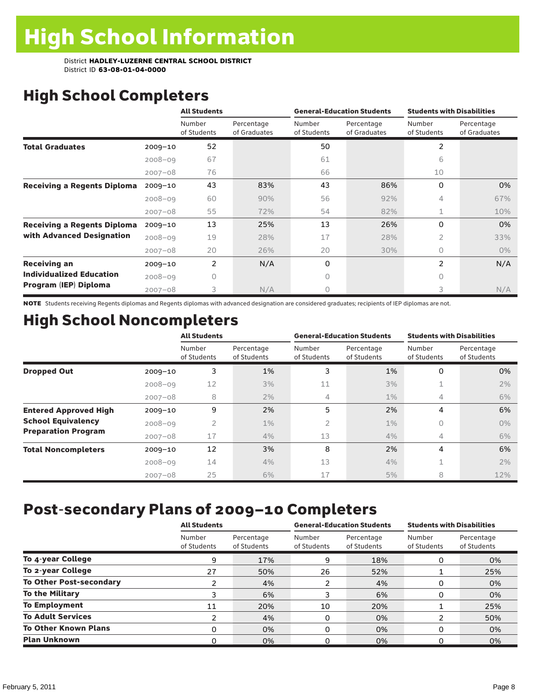# High School Completers

|                                    |             | <b>All Students</b>   |                            |                       | <b>General-Education Students</b> | <b>Students with Disabilities</b> |                            |
|------------------------------------|-------------|-----------------------|----------------------------|-----------------------|-----------------------------------|-----------------------------------|----------------------------|
|                                    |             | Number<br>of Students | Percentage<br>of Graduates | Number<br>of Students | Percentage<br>of Graduates        | Number<br>of Students             | Percentage<br>of Graduates |
| <b>Total Graduates</b>             | $2009 - 10$ | 52                    |                            | 50                    |                                   | 2                                 |                            |
|                                    | $2008 - 09$ | 67                    |                            | 61                    |                                   | 6                                 |                            |
|                                    | $2007 - 08$ | 76                    |                            | 66                    |                                   | 10                                |                            |
| <b>Receiving a Regents Diploma</b> | $2009 - 10$ | 43                    | 83%                        | 43                    | 86%                               | $\Omega$                          | 0%                         |
|                                    | $2008 - 09$ | 60                    | 90%                        | 56                    | 92%                               | 4                                 | 67%                        |
|                                    | $2007 - 08$ | 55                    | 72%                        | 54                    | 82%                               | $\mathbf{1}$                      | 10%                        |
| <b>Receiving a Regents Diploma</b> | $2009 - 10$ | 13                    | 25%                        | 13                    | 26%                               | 0                                 | 0%                         |
| with Advanced Designation          | $2008 - 09$ | 19                    | 28%                        | 17                    | 28%                               | $\overline{2}$                    | 33%                        |
|                                    | $2007 - 08$ | 20                    | 26%                        | 20                    | 30%                               | $\bigcap$                         | $0\%$                      |
| <b>Receiving an</b>                | $2009 - 10$ | 2                     | N/A                        | 0                     |                                   | 2                                 | N/A                        |
| <b>Individualized Education</b>    | $2008 - 09$ | O                     |                            | 0                     |                                   | 0                                 |                            |
| Program (IEP) Diploma              | $2007 - 08$ | 3                     | N/A                        | 0                     |                                   | 3                                 | N/A                        |

NOTE Students receiving Regents diplomas and Regents diplomas with advanced designation are considered graduates; recipients of IEP diplomas are not.

# High School Noncompleters

|                              |             | <b>All Students</b>   |                           |                       | <b>General-Education Students</b> | <b>Students with Disabilities</b> |                           |
|------------------------------|-------------|-----------------------|---------------------------|-----------------------|-----------------------------------|-----------------------------------|---------------------------|
|                              |             | Number<br>of Students | Percentage<br>of Students | Number<br>of Students | Percentage<br>of Students         | Number<br>of Students             | Percentage<br>of Students |
| <b>Dropped Out</b>           | $2009 - 10$ | 3                     | 1%                        | 3                     | 1%                                | 0                                 | 0%                        |
|                              | $2008 - 09$ | 12                    | 3%                        | 11                    | 3%                                |                                   | 2%                        |
|                              | $2007 - 08$ | 8                     | 2%                        | 4                     | $1\%$                             | 4                                 | 6%                        |
| <b>Entered Approved High</b> | $2009 - 10$ | 9                     | 2%                        | 5                     | 2%                                | 4                                 | 6%                        |
| <b>School Equivalency</b>    | $2008 - 09$ | 2                     | $1\%$                     | 2                     | $1\%$                             | 0                                 | $0\%$                     |
| <b>Preparation Program</b>   | $2007 - 08$ | 17                    | 4%                        | 13                    | 4%                                | 4                                 | 6%                        |
| <b>Total Noncompleters</b>   | $2009 - 10$ | 12                    | 3%                        | 8                     | 2%                                | 4                                 | 6%                        |
|                              | $2008 - 09$ | 14                    | 4%                        | 13                    | 4%                                | 1                                 | 2%                        |
|                              | $2007 - 08$ | 25                    | 6%                        | 17                    | 5%                                | 8                                 | 12%                       |

# Post-secondary Plans of 2009–10 Completers

|                                | <b>All Students</b>   |                           | <b>General-Education Students</b> |                           | <b>Students with Disabilities</b> |                           |
|--------------------------------|-----------------------|---------------------------|-----------------------------------|---------------------------|-----------------------------------|---------------------------|
|                                | Number<br>of Students | Percentage<br>of Students | Number<br>of Students             | Percentage<br>of Students | Number<br>of Students             | Percentage<br>of Students |
| To 4-year College              | 9                     | 17%                       | 9                                 | 18%                       | 0                                 | 0%                        |
| To 2-year College              | 27                    | 50%                       | 26                                | 52%                       |                                   | 25%                       |
| <b>To Other Post-secondary</b> |                       | 4%                        | 2                                 | 4%                        | 0                                 | 0%                        |
| <b>To the Military</b>         | 3                     | 6%                        | 3                                 | 6%                        | 0                                 | 0%                        |
| <b>To Employment</b>           | 11                    | 20%                       | 10                                | 20%                       |                                   | 25%                       |
| <b>To Adult Services</b>       | っ                     | 4%                        | 0                                 | 0%                        |                                   | 50%                       |
| <b>To Other Known Plans</b>    | 0                     | 0%                        | $\Omega$                          | 0%                        | O                                 | 0%                        |
| <b>Plan Unknown</b>            |                       | 0%                        | 0                                 | 0%                        | 0                                 | 0%                        |